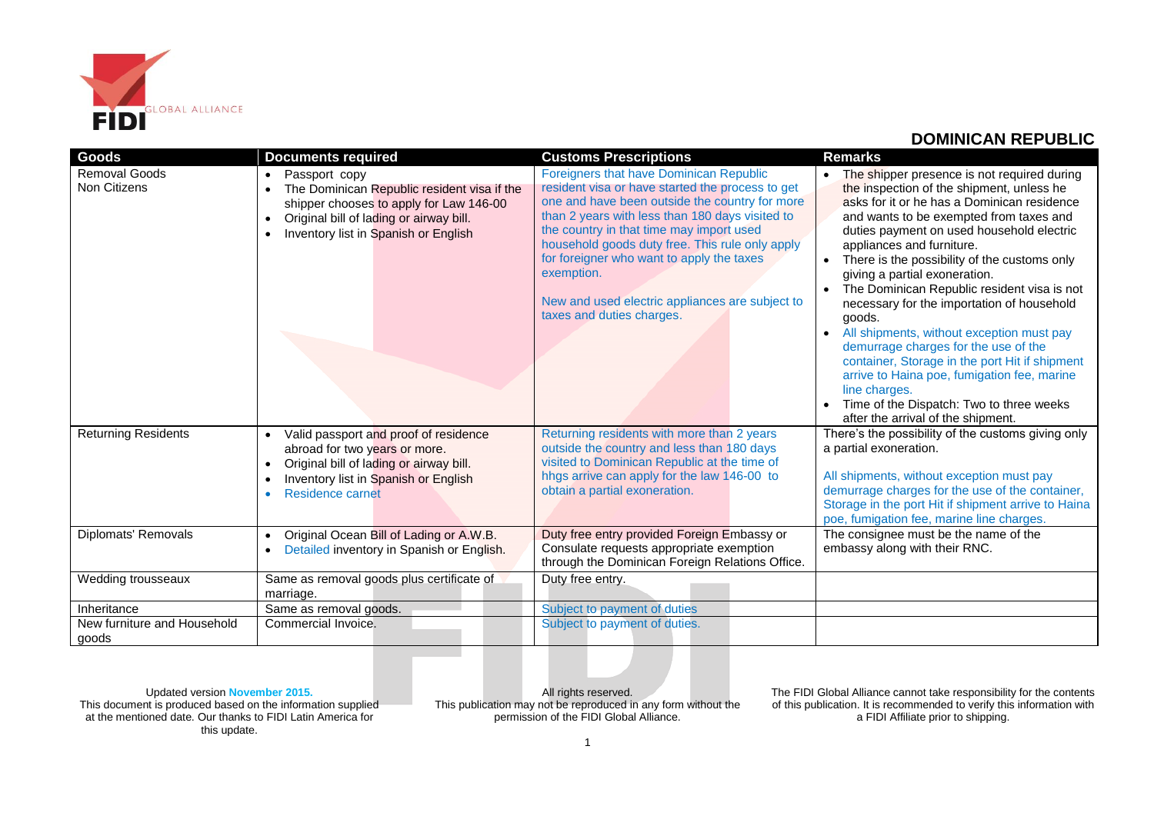

| Goods                                | <b>Documents required</b>                                                                                                                                                                                            | <b>Customs Prescriptions</b>                                                                                                                                                                                                                                                                                                                                                                                                               | <b>Remarks</b>                                                                                                                                                                                                                                                                                                                                                                                                                                                                                                                                                                                                                                                                                                                                             |
|--------------------------------------|----------------------------------------------------------------------------------------------------------------------------------------------------------------------------------------------------------------------|--------------------------------------------------------------------------------------------------------------------------------------------------------------------------------------------------------------------------------------------------------------------------------------------------------------------------------------------------------------------------------------------------------------------------------------------|------------------------------------------------------------------------------------------------------------------------------------------------------------------------------------------------------------------------------------------------------------------------------------------------------------------------------------------------------------------------------------------------------------------------------------------------------------------------------------------------------------------------------------------------------------------------------------------------------------------------------------------------------------------------------------------------------------------------------------------------------------|
| Removal Goods<br><b>Non Citizens</b> | Passport copy<br>$\bullet$<br>The Dominican Republic resident visa if the<br>shipper chooses to apply for Law 146-00<br>Original bill of lading or airway bill.<br>$\bullet$<br>Inventory list in Spanish or English | Foreigners that have Dominican Republic<br>resident visa or have started the process to get<br>one and have been outside the country for more<br>than 2 years with less than 180 days visited to<br>the country in that time may import used<br>household goods duty free. This rule only apply<br>for foreigner who want to apply the taxes<br>exemption.<br>New and used electric appliances are subject to<br>taxes and duties charges. | The shipper presence is not required during<br>the inspection of the shipment, unless he<br>asks for it or he has a Dominican residence<br>and wants to be exempted from taxes and<br>duties payment on used household electric<br>appliances and furniture.<br>There is the possibility of the customs only<br>giving a partial exoneration.<br>The Dominican Republic resident visa is not<br>necessary for the importation of household<br>goods.<br>All shipments, without exception must pay<br>$\bullet$<br>demurrage charges for the use of the<br>container, Storage in the port Hit if shipment<br>arrive to Haina poe, fumigation fee, marine<br>line charges.<br>Time of the Dispatch: Two to three weeks<br>after the arrival of the shipment. |
| <b>Returning Residents</b>           | Valid passport and proof of residence<br>$\bullet$<br>abroad for two years or more.<br>Original bill of lading or airway bill.<br>$\bullet$<br>Inventory list in Spanish or English<br>$\bullet$<br>Residence carnet | Returning residents with more than 2 years<br>outside the country and less than 180 days<br>visited to Dominican Republic at the time of<br>hhgs arrive can apply for the law 146-00 to<br>obtain a partial exoneration.                                                                                                                                                                                                                   | There's the possibility of the customs giving only<br>a partial exoneration.<br>All shipments, without exception must pay<br>demurrage charges for the use of the container,<br>Storage in the port Hit if shipment arrive to Haina<br>poe, fumigation fee, marine line charges.                                                                                                                                                                                                                                                                                                                                                                                                                                                                           |
| Diplomats' Removals                  | Original Ocean Bill of Lading or A.W.B.<br>$\bullet$<br>Detailed inventory in Spanish or English.<br>$\bullet$                                                                                                       | Duty free entry provided Foreign Embassy or<br>Consulate requests appropriate exemption<br>through the Dominican Foreign Relations Office.                                                                                                                                                                                                                                                                                                 | The consignee must be the name of the<br>embassy along with their RNC.                                                                                                                                                                                                                                                                                                                                                                                                                                                                                                                                                                                                                                                                                     |
| Wedding trousseaux                   | Same as removal goods plus certificate of<br>marriage.                                                                                                                                                               | Duty free entry.                                                                                                                                                                                                                                                                                                                                                                                                                           |                                                                                                                                                                                                                                                                                                                                                                                                                                                                                                                                                                                                                                                                                                                                                            |
| Inheritance                          | Same as removal goods.                                                                                                                                                                                               | Subject to payment of duties                                                                                                                                                                                                                                                                                                                                                                                                               |                                                                                                                                                                                                                                                                                                                                                                                                                                                                                                                                                                                                                                                                                                                                                            |
| New furniture and Household<br>goods | Commercial Invoice.                                                                                                                                                                                                  | Subject to payment of duties.                                                                                                                                                                                                                                                                                                                                                                                                              |                                                                                                                                                                                                                                                                                                                                                                                                                                                                                                                                                                                                                                                                                                                                                            |

Updated version **November 2015.** This document is produced based on the information supplied at the mentioned date. Our thanks to FIDI Latin America for this update.

All rights reserved. This publication may not be reproduced in any form without the permission of the FIDI Global Alliance.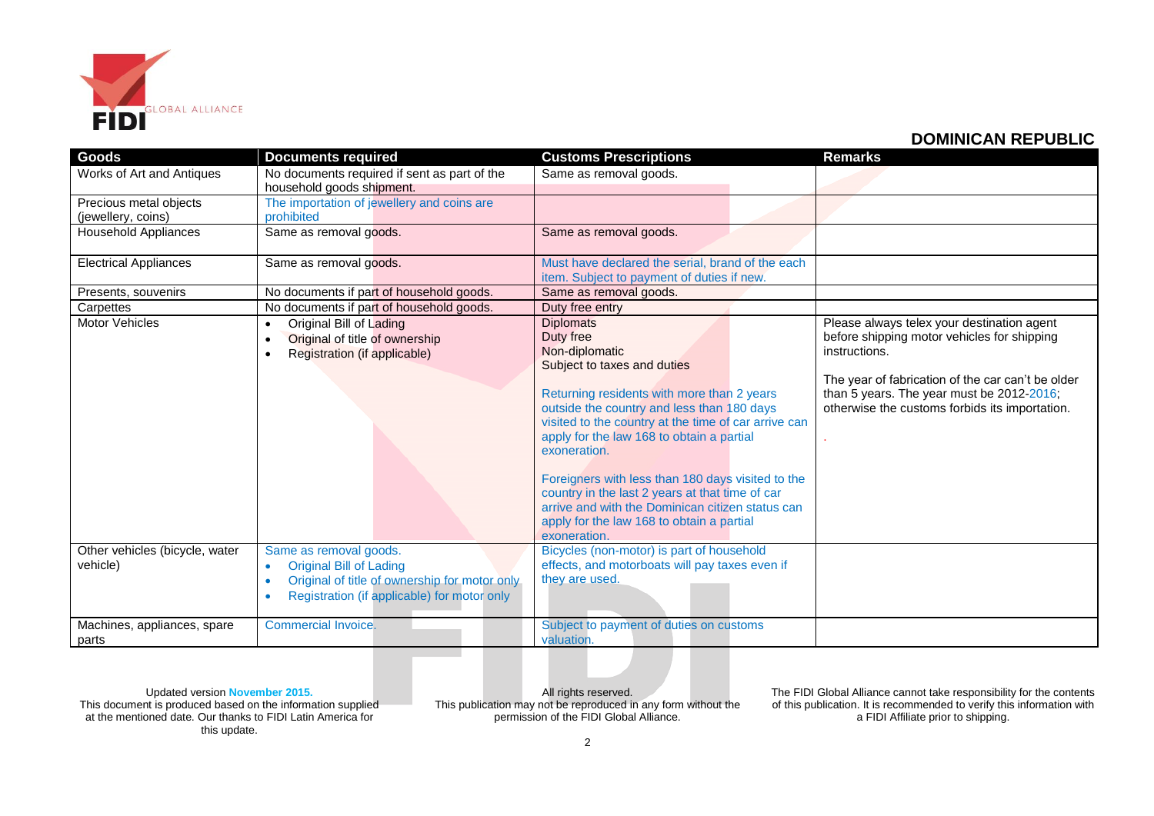

| Goods                                        | <b>Documents required</b>                                                                                                                                                                       | <b>Customs Prescriptions</b>                                                                                                                                                                                                                                                                                                                                                                                                                                                                                             | <b>Remarks</b>                                                                                                                                                                                                                                                 |
|----------------------------------------------|-------------------------------------------------------------------------------------------------------------------------------------------------------------------------------------------------|--------------------------------------------------------------------------------------------------------------------------------------------------------------------------------------------------------------------------------------------------------------------------------------------------------------------------------------------------------------------------------------------------------------------------------------------------------------------------------------------------------------------------|----------------------------------------------------------------------------------------------------------------------------------------------------------------------------------------------------------------------------------------------------------------|
| Works of Art and Antiques                    | No documents required if sent as part of the<br>household goods shipment.                                                                                                                       | Same as removal goods.                                                                                                                                                                                                                                                                                                                                                                                                                                                                                                   |                                                                                                                                                                                                                                                                |
| Precious metal objects<br>(jewellery, coins) | The importation of jewellery and coins are<br>prohibited                                                                                                                                        |                                                                                                                                                                                                                                                                                                                                                                                                                                                                                                                          |                                                                                                                                                                                                                                                                |
| <b>Household Appliances</b>                  | Same as removal goods.                                                                                                                                                                          | Same as removal goods.                                                                                                                                                                                                                                                                                                                                                                                                                                                                                                   |                                                                                                                                                                                                                                                                |
| <b>Electrical Appliances</b>                 | Same as removal goods.                                                                                                                                                                          | Must have declared the serial, brand of the each<br>item. Subject to payment of duties if new.                                                                                                                                                                                                                                                                                                                                                                                                                           |                                                                                                                                                                                                                                                                |
| Presents, souvenirs                          | No documents if part of household goods.                                                                                                                                                        | Same as removal goods.                                                                                                                                                                                                                                                                                                                                                                                                                                                                                                   |                                                                                                                                                                                                                                                                |
| Carpettes                                    | No documents if part of household goods.                                                                                                                                                        | Duty free entry                                                                                                                                                                                                                                                                                                                                                                                                                                                                                                          |                                                                                                                                                                                                                                                                |
| <b>Motor Vehicles</b>                        | Original Bill of Lading<br>$\bullet$<br>Original of title of ownership<br>$\bullet$<br>Registration (if applicable)<br>$\bullet$                                                                | <b>Diplomats</b><br>Duty free<br>Non-diplomatic<br>Subject to taxes and duties<br>Returning residents with more than 2 years<br>outside the country and less than 180 days<br>visited to the country at the time of car arrive can<br>apply for the law 168 to obtain a partial<br>exoneration.<br>Foreigners with less than 180 days visited to the<br>country in the last 2 years at that time of car<br>arrive and with the Dominican citizen status can<br>apply for the law 168 to obtain a partial<br>exoneration. | Please always telex your destination agent<br>before shipping motor vehicles for shipping<br>instructions.<br>The year of fabrication of the car can't be older<br>than 5 years. The year must be 2012-2016;<br>otherwise the customs forbids its importation. |
| Other vehicles (bicycle, water<br>vehicle)   | Same as removal goods.<br><b>Original Bill of Lading</b><br>$\bullet$<br>Original of title of ownership for motor only<br>$\bullet$<br>Registration (if applicable) for motor only<br>$\bullet$ | Bicycles (non-motor) is part of household<br>effects, and motorboats will pay taxes even if<br>they are used.                                                                                                                                                                                                                                                                                                                                                                                                            |                                                                                                                                                                                                                                                                |
| Machines, appliances, spare<br>parts         | Commercial Invoice.                                                                                                                                                                             | Subject to payment of duties on customs<br>valuation.                                                                                                                                                                                                                                                                                                                                                                                                                                                                    |                                                                                                                                                                                                                                                                |

Updated version **November 2015.** This document is produced based on the information supplied at the mentioned date. Our thanks to FIDI Latin America for this update.

All rights reserved. This publication may not be reproduced in any form without the permission of the FIDI Global Alliance.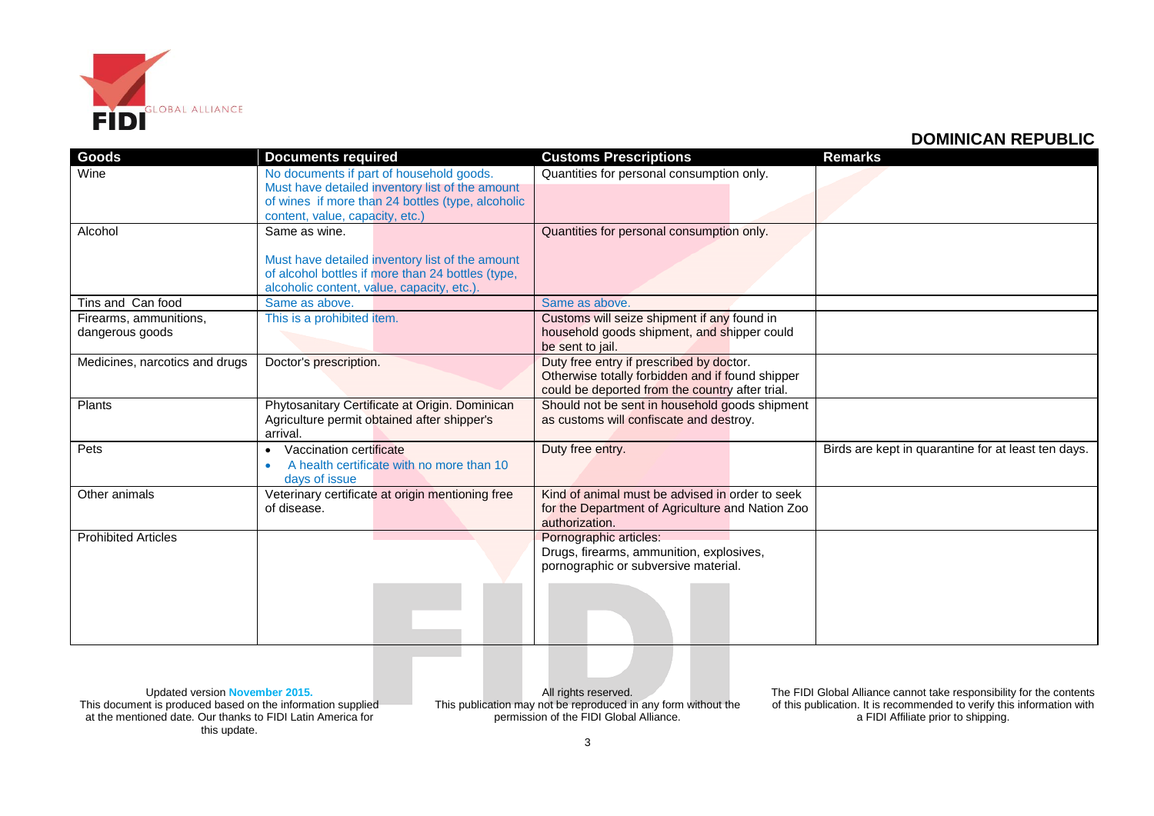

| Goods                          | <b>Documents required</b>                         | <b>Customs Prescriptions</b>                     | <b>Remarks</b>                                      |
|--------------------------------|---------------------------------------------------|--------------------------------------------------|-----------------------------------------------------|
| Wine                           | No documents if part of household goods.          | Quantities for personal consumption only.        |                                                     |
|                                | Must have detailed inventory list of the amount   |                                                  |                                                     |
|                                | of wines if more than 24 bottles (type, alcoholic |                                                  |                                                     |
|                                | content, value, capacity, etc.)                   |                                                  |                                                     |
| Alcohol                        | Same as wine.                                     | Quantities for personal consumption only.        |                                                     |
|                                |                                                   |                                                  |                                                     |
|                                | Must have detailed inventory list of the amount   |                                                  |                                                     |
|                                | of alcohol bottles if more than 24 bottles (type, |                                                  |                                                     |
|                                | alcoholic content, value, capacity, etc.).        |                                                  |                                                     |
| Tins and Can food              | Same as above.                                    | Same as above.                                   |                                                     |
| Firearms, ammunitions,         | This is a prohibited item.                        | Customs will seize shipment if any found in      |                                                     |
| dangerous goods                |                                                   | household goods shipment, and shipper could      |                                                     |
|                                |                                                   | be sent to jail.                                 |                                                     |
| Medicines, narcotics and drugs | Doctor's prescription.                            | Duty free entry if prescribed by doctor.         |                                                     |
|                                |                                                   | Otherwise totally forbidden and if found shipper |                                                     |
|                                |                                                   | could be deported from the country after trial.  |                                                     |
| Plants                         | Phytosanitary Certificate at Origin. Dominican    | Should not be sent in household goods shipment   |                                                     |
|                                | Agriculture permit obtained after shipper's       | as customs will confiscate and destroy.          |                                                     |
|                                | arrival.                                          |                                                  |                                                     |
| Pets                           | Vaccination certificate<br>$\bullet$              | Duty free entry.                                 | Birds are kept in quarantine for at least ten days. |
|                                | A health certificate with no more than 10         |                                                  |                                                     |
|                                | days of issue                                     |                                                  |                                                     |
| Other animals                  | Veterinary certificate at origin mentioning free  | Kind of animal must be advised in order to seek  |                                                     |
|                                | of disease.                                       | for the Department of Agriculture and Nation Zoo |                                                     |
|                                |                                                   | authorization.                                   |                                                     |
| <b>Prohibited Articles</b>     |                                                   | Pornographic articles:                           |                                                     |
|                                |                                                   | Drugs, firearms, ammunition, explosives,         |                                                     |
|                                |                                                   | pornographic or subversive material.             |                                                     |
|                                |                                                   |                                                  |                                                     |
|                                |                                                   |                                                  |                                                     |
|                                |                                                   |                                                  |                                                     |
|                                |                                                   |                                                  |                                                     |
|                                |                                                   |                                                  |                                                     |

Updated version **November 2015.** This document is produced based on the information supplied at the mentioned date. Our thanks to FIDI Latin America for this update.

All rights reserved. This publication may not be reproduced in any form without the permission of the FIDI Global Alliance.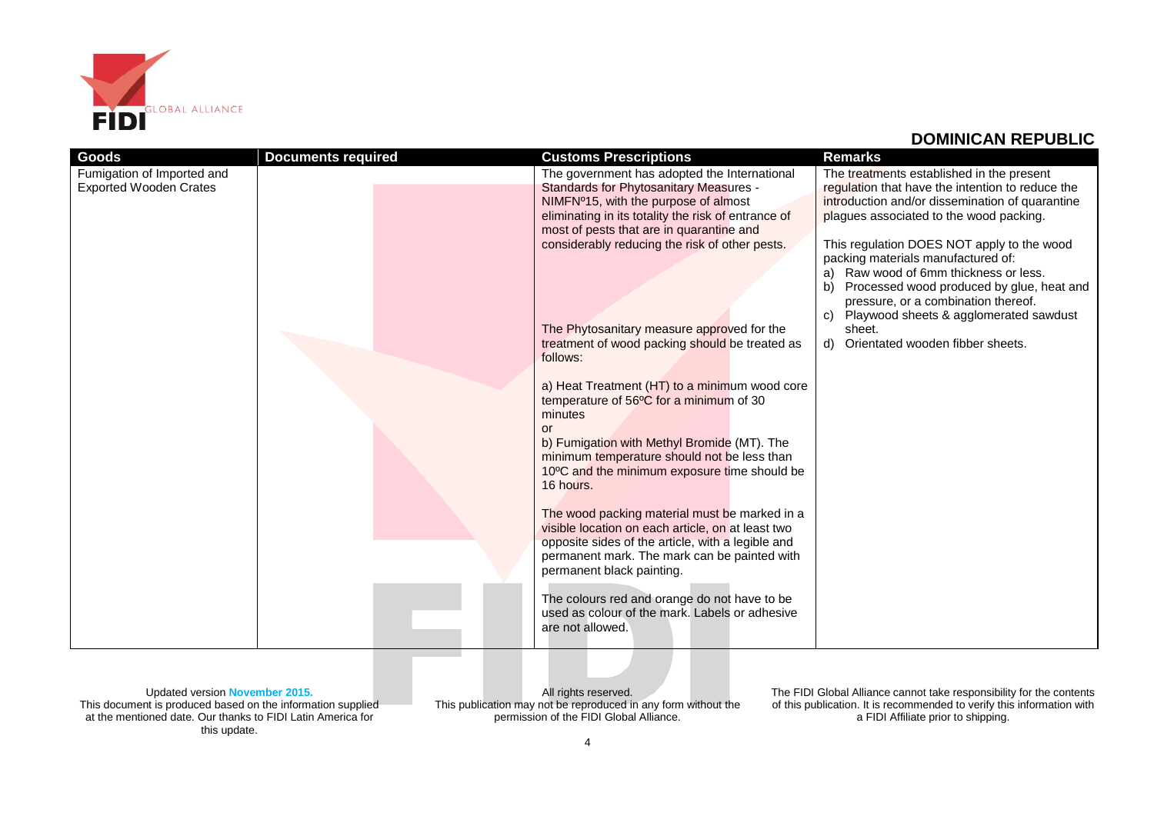

| Goods                         | <b>Documents required</b> | <b>Customs Prescriptions</b>                        | <b>Remarks</b>                                   |
|-------------------------------|---------------------------|-----------------------------------------------------|--------------------------------------------------|
| Fumigation of Imported and    |                           | The government has adopted the International        | The treatments established in the present        |
| <b>Exported Wooden Crates</b> |                           | Standards for Phytosanitary Measures -              | regulation that have the intention to reduce the |
|                               |                           | NIMFNº15, with the purpose of almost                | introduction and/or dissemination of quarantine  |
|                               |                           | eliminating in its totality the risk of entrance of | plagues associated to the wood packing.          |
|                               |                           | most of pests that are in quarantine and            |                                                  |
|                               |                           | considerably reducing the risk of other pests.      | This regulation DOES NOT apply to the wood       |
|                               |                           |                                                     | packing materials manufactured of:               |
|                               |                           |                                                     | a) Raw wood of 6mm thickness or less.            |
|                               |                           |                                                     | b)<br>Processed wood produced by glue, heat and  |
|                               |                           |                                                     | pressure, or a combination thereof.              |
|                               |                           |                                                     | Playwood sheets & agglomerated sawdust<br>C)     |
|                               |                           | The Phytosanitary measure approved for the          | sheet.                                           |
|                               |                           | treatment of wood packing should be treated as      | d) Orientated wooden fibber sheets.              |
|                               |                           | follows:                                            |                                                  |
|                               |                           |                                                     |                                                  |
|                               |                           | a) Heat Treatment (HT) to a minimum wood core       |                                                  |
|                               |                           | temperature of 56°C for a minimum of 30             |                                                  |
|                               |                           | minutes                                             |                                                  |
|                               |                           | or                                                  |                                                  |
|                               |                           | b) Fumigation with Methyl Bromide (MT). The         |                                                  |
|                               |                           | minimum temperature should not be less than         |                                                  |
|                               |                           | 10°C and the minimum exposure time should be        |                                                  |
|                               |                           | 16 hours.                                           |                                                  |
|                               |                           |                                                     |                                                  |
|                               |                           | The wood packing material must be marked in a       |                                                  |
|                               |                           | visible location on each article, on at least two   |                                                  |
|                               |                           | opposite sides of the article, with a legible and   |                                                  |
|                               |                           | permanent mark. The mark can be painted with        |                                                  |
|                               |                           | permanent black painting.                           |                                                  |
|                               |                           |                                                     |                                                  |
|                               |                           | The colours red and orange do not have to be        |                                                  |
|                               |                           | used as colour of the mark. Labels or adhesive      |                                                  |
|                               |                           | are not allowed.                                    |                                                  |
|                               |                           |                                                     |                                                  |

Updated version **November 2015.** This document is produced based on the information supplied at the mentioned date. Our thanks to FIDI Latin America for this update.

All rights reserved. This publication may not be reproduced in any form without the permission of the FIDI Global Alliance.